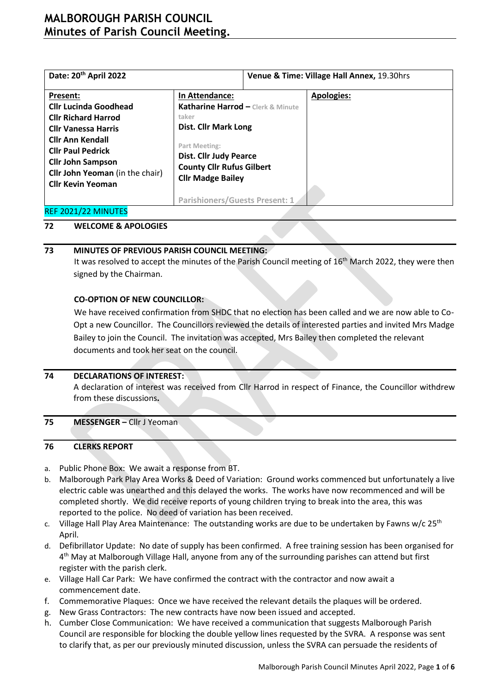# **MALBOROUGH PARISH COUNCIL Minutes of Parish Council Meeting.**

| Date: 20 <sup>th</sup> April 2022      |                                       | Venue & Time: Village Hall Annex, 19.30hrs |                   |  |  |  |
|----------------------------------------|---------------------------------------|--------------------------------------------|-------------------|--|--|--|
| Present:                               | In Attendance:                        |                                            | <b>Apologies:</b> |  |  |  |
| <b>Cllr Lucinda Goodhead</b>           | Katharine Harrod - Clerk & Minute     |                                            |                   |  |  |  |
| <b>Cllr Richard Harrod</b>             | taker                                 |                                            |                   |  |  |  |
| <b>Cllr Vanessa Harris</b>             | <b>Dist. Cllr Mark Long</b>           |                                            |                   |  |  |  |
| <b>Cllr Ann Kendall</b>                | Part Meeting:                         |                                            |                   |  |  |  |
| <b>Cllr Paul Pedrick</b>               | <b>Dist. Cllr Judy Pearce</b>         |                                            |                   |  |  |  |
| <b>Cllr John Sampson</b>               | <b>County Cllr Rufus Gilbert</b>      |                                            |                   |  |  |  |
| <b>Cllr John Yeoman</b> (in the chair) |                                       |                                            |                   |  |  |  |
| <b>Cllr Kevin Yeoman</b>               | <b>Cllr Madge Bailey</b>              |                                            |                   |  |  |  |
|                                        | <b>Parishioners/Guests Present: 1</b> |                                            |                   |  |  |  |

### REF 2021/22 MINUTES

### **72 WELCOME & APOLOGIES**

### **73 MINUTES OF PREVIOUS PARISH COUNCIL MEETING:**

It was resolved to accept the minutes of the Parish Council meeting of 16<sup>th</sup> March 2022, they were then signed by the Chairman.

### **CO-OPTION OF NEW COUNCILLOR:**

We have received confirmation from SHDC that no election has been called and we are now able to Co-Opt a new Councillor. The Councillors reviewed the details of interested parties and invited Mrs Madge Bailey to join the Council. The invitation was accepted, Mrs Bailey then completed the relevant documents and took her seat on the council.

### **74 DECLARATIONS OF INTEREST:**

A declaration of interest was received from Cllr Harrod in respect of Finance, the Councillor withdrew from these discussions**.**

### **75 MESSENGER –** Cllr J Yeoman

### **76 CLERKS REPORT**

- a. Public Phone Box: We await a response from BT.
- b. Malborough Park Play Area Works & Deed of Variation: Ground works commenced but unfortunately a live electric cable was unearthed and this delayed the works. The works have now recommenced and will be completed shortly. We did receive reports of young children trying to break into the area, this was reported to the police. No deed of variation has been received.
- c. Village Hall Play Area Maintenance: The outstanding works are due to be undertaken by Fawns w/c 25<sup>th</sup> April.
- d. Defibrillator Update: No date of supply has been confirmed. A free training session has been organised for 4<sup>th</sup> May at Malborough Village Hall, anyone from any of the surrounding parishes can attend but first register with the parish clerk.
- e. Village Hall Car Park: We have confirmed the contract with the contractor and now await a commencement date.
- f. Commemorative Plaques: Once we have received the relevant details the plaques will be ordered.
- g. New Grass Contractors: The new contracts have now been issued and accepted.
- h. Cumber Close Communication: We have received a communication that suggests Malborough Parish Council are responsible for blocking the double yellow lines requested by the SVRA. A response was sent to clarify that, as per our previously minuted discussion, unless the SVRA can persuade the residents of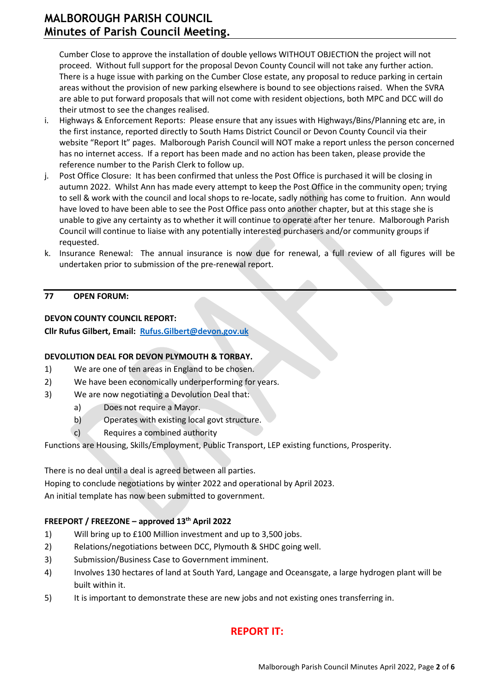Cumber Close to approve the installation of double yellows WITHOUT OBJECTION the project will not proceed. Without full support for the proposal Devon County Council will not take any further action. There is a huge issue with parking on the Cumber Close estate, any proposal to reduce parking in certain areas without the provision of new parking elsewhere is bound to see objections raised. When the SVRA are able to put forward proposals that will not come with resident objections, both MPC and DCC will do their utmost to see the changes realised.

- i. Highways & Enforcement Reports: Please ensure that any issues with Highways/Bins/Planning etc are, in the first instance, reported directly to South Hams District Council or Devon County Council via their website "Report It" pages. Malborough Parish Council will NOT make a report unless the person concerned has no internet access. If a report has been made and no action has been taken, please provide the reference number to the Parish Clerk to follow up.
- j. Post Office Closure: It has been confirmed that unless the Post Office is purchased it will be closing in autumn 2022. Whilst Ann has made every attempt to keep the Post Office in the community open; trying to sell & work with the council and local shops to re-locate, sadly nothing has come to fruition. Ann would have loved to have been able to see the Post Office pass onto another chapter, but at this stage she is unable to give any certainty as to whether it will continue to operate after her tenure. Malborough Parish Council will continue to liaise with any potentially interested purchasers and/or community groups if requested.
- k. Insurance Renewal: The annual insurance is now due for renewal, a full review of all figures will be undertaken prior to submission of the pre-renewal report.

### **77 OPEN FORUM:**

### **DEVON COUNTY COUNCIL REPORT:**

**Cllr Rufus Gilbert, Email: [Rufus.Gilbert@devon.gov.uk](mailto:Rufus.Gilbert@devon.gov.uk)**

### **DEVOLUTION DEAL FOR DEVON PLYMOUTH & TORBAY.**

- 1) We are one of ten areas in England to be chosen.
- 2) We have been economically underperforming for years.
- 3) We are now negotiating a Devolution Deal that:
	- a) Does not require a Mayor.
	- b) Operates with existing local govt structure.
	- c) Requires a combined authority

Functions are Housing, Skills/Employment, Public Transport, LEP existing functions, Prosperity.

There is no deal until a deal is agreed between all parties.

Hoping to conclude negotiations by winter 2022 and operational by April 2023.

An initial template has now been submitted to government.

### **FREEPORT / FREEZONE – approved 13th April 2022**

- 1) Will bring up to £100 Million investment and up to 3,500 jobs.
- 2) Relations/negotiations between DCC, Plymouth & SHDC going well.
- 3) Submission/Business Case to Government imminent.
- 4) Involves 130 hectares of land at South Yard, Langage and Oceansgate, a large hydrogen plant will be built within it.
- 5) It is important to demonstrate these are new jobs and not existing ones transferring in.

## **REPORT IT:**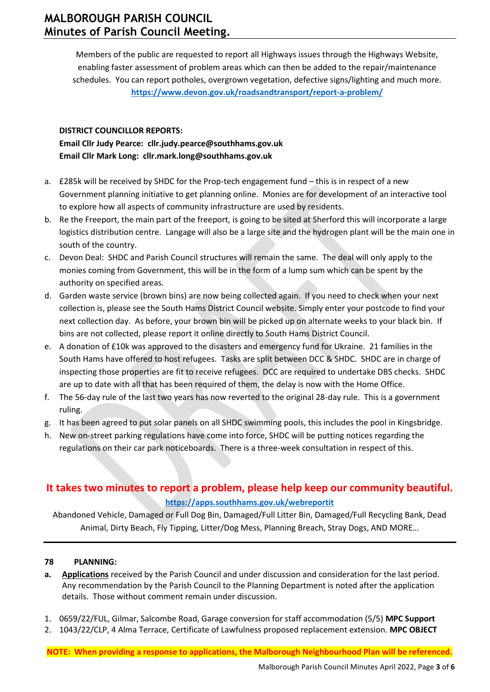Members of the public are requested to report all Highways issues through the Highways Website, enabling faster assessment of problem areas which can then be added to the repair/maintenance schedules. You can report potholes, overgrown vegetation, defective signs/lighting and much more. **<https://www.devon.gov.uk/roadsandtransport/report-a-problem/>**

### **DISTRICT COUNCILLOR REPORTS:**

**Email Cllr Judy Pearce: [cllr.judy.pearce@southhams.gov.uk](file:///C:/Users/katha/Downloads/cllr.judy.pearce@southhams.gov.uk) Email Cllr Mark Long: [cllr.mark.long@southhams.gov.uk](mailto:cllr.mark.long@southhams.gov.uk)**

- a. £285k will be received by SHDC for the Prop-tech engagement fund this is in respect of a new Government planning initiative to get planning online. Monies are for development of an interactive tool to explore how all aspects of community infrastructure are used by residents.
- b. Re the Freeport, the main part of the freeport, is going to be sited at Sherford this will incorporate a large logistics distribution centre. Langage will also be a large site and the hydrogen plant will be the main one in south of the country.
- c. Devon Deal: SHDC and Parish Council structures will remain the same. The deal will only apply to the monies coming from Government, this will be in the form of a lump sum which can be spent by the authority on specified areas.
- d. Garden waste service (brown bins) are now being collected again. If you need to check when your next collection is, please see the South Hams District Council website. Simply enter your postcode to find your next collection day. As before, your brown bin will be picked up on alternate weeks to your black bin. If bins are not collected, please report it online directly to South Hams District Council.
- e. A donation of £10k was approved to the disasters and emergency fund for Ukraine. 21 families in the South Hams have offered to host refugees. Tasks are split between DCC & SHDC. SHDC are in charge of inspecting those properties are fit to receive refugees. DCC are required to undertake DBS checks. SHDC are up to date with all that has been required of them, the delay is now with the Home Office.
- f. The 56-day rule of the last two years has now reverted to the original 28-day rule. This is a government ruling.
- g. It has been agreed to put solar panels on all SHDC swimming pools, this includes the pool in Kingsbridge.
- h. New on-street parking regulations have come into force, SHDC will be putting notices regarding the regulations on their car park noticeboards. There is a three-week consultation in respect of this.

# **It takes two minutes to report a problem, please help keep our community beautiful. <https://apps.southhams.gov.uk/webreportit>**

Abandoned Vehicle, Damaged or Full Dog Bin, Damaged/Full Litter Bin, Damaged/Full Recycling Bank, Dead Animal, Dirty Beach, Fly Tipping, Litter/Dog Mess, Planning Breach, Stray Dogs, AND MORE...

### **78 PLANNING:**

- **a. Applications** received by the Parish Council and under discussion and consideration for the last period. Any recommendation by the Parish Council to the Planning Department is noted after the application details. Those without comment remain under discussion.
- 1. 0659/22/FUL, Gilmar, Salcombe Road, Garage conversion for staff accommodation (5/5) **MPC Support**
- 2. 1043/22/CLP, 4 Alma Terrace, Certificate of Lawfulness proposed replacement extension. **MPC OBJECT**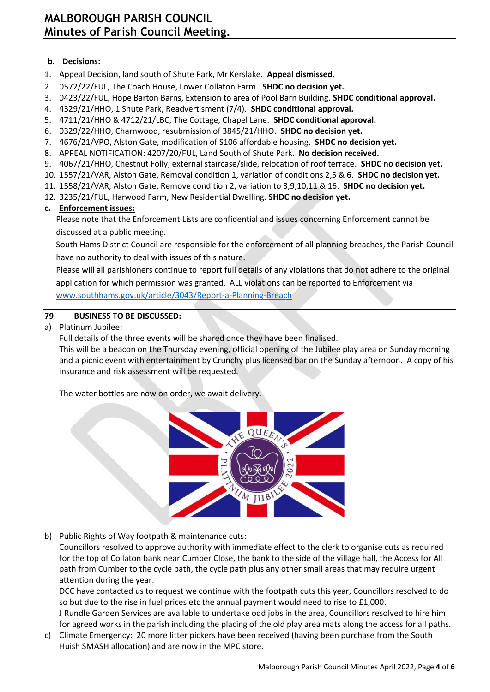### **b. Decisions:**

- 1. Appeal Decision, land south of Shute Park, Mr Kerslake. **Appeal dismissed.**
- 2. 0572/22/FUL, The Coach House, Lower Collaton Farm. **SHDC no decision yet.**
- 3. 0423/22/FUL, Hope Barton Barns, Extension to area of Pool Barn Building. **SHDC conditional approval.**
- 4. 4329/21/HHO, 1 Shute Park, Readvertisment (7/4). **SHDC conditional approval.**
- 5. 4711/21/HHO & 4712/21/LBC, The Cottage, Chapel Lane. **SHDC conditional approval.**
- 6. 0329/22/HHO, Charnwood, resubmission of 3845/21/HHO. **SHDC no decision yet.**
- 7. 4676/21/VPO, Alston Gate, modification of S106 affordable housing. **SHDC no decision yet.**
- 8. APPEAL NOTIFICATION: 4207/20/FUL, Land South of Shute Park. **No decision received.**
- 9. 4067/21/HHO, Chestnut Folly, external staircase/slide, relocation of roof terrace. **SHDC no decision yet.**
- 10. 1557/21/VAR, Alston Gate, Removal condition 1, variation of conditions 2,5 & 6. **SHDC no decision yet.**
- 11. 1558/21/VAR, Alston Gate, Remove condition 2, variation to 3,9,10,11 & 16. **SHDC no decision yet.**
- 12. 3235/21/FUL, Harwood Farm, New Residential Dwelling. **SHDC no decision yet.**

### **c. Enforcement issues:**

Please note that the Enforcement Lists are confidential and issues concerning Enforcement cannot be discussed at a public meeting.

South Hams District Council are responsible for the enforcement of all planning breaches, the Parish Council have no authority to deal with issues of this nature.

Please will all parishioners continue to report full details of any violations that do not adhere to the original application for which permission was granted. ALL violations can be reported to Enforcement via [www.southhams.gov.uk/article/3043/Report-a-Planning-Breach](http://www.southhams.gov.uk/article/3043/Report-a-Planning-Breach)

### **79 BUSINESS TO BE DISCUSSED:**

a) Platinum Jubilee:

Full details of the three events will be shared once they have been finalised.

This will be a beacon on the Thursday evening, official opening of the Jubilee play area on Sunday morning and a picnic event with entertainment by Crunchy plus licensed bar on the Sunday afternoon. A copy of his insurance and risk assessment will be requested.

The water bottles are now on order, we await delivery.



b) Public Rights of Way footpath & maintenance cuts:

Councillors resolved to approve authority with immediate effect to the clerk to organise cuts as required for the top of Collaton bank near Cumber Close, the bank to the side of the village hall, the Access for All path from Cumber to the cycle path, the cycle path plus any other small areas that may require urgent attention during the year.

DCC have contacted us to request we continue with the footpath cuts this year, Councillors resolved to do so but due to the rise in fuel prices etc the annual payment would need to rise to £1,000.

J Rundle Garden Services are available to undertake odd jobs in the area, Councillors resolved to hire him for agreed works in the parish including the placing of the old play area mats along the access for all paths.

c) Climate Emergency: 20 more litter pickers have been received (having been purchase from the South Huish SMASH allocation) and are now in the MPC store.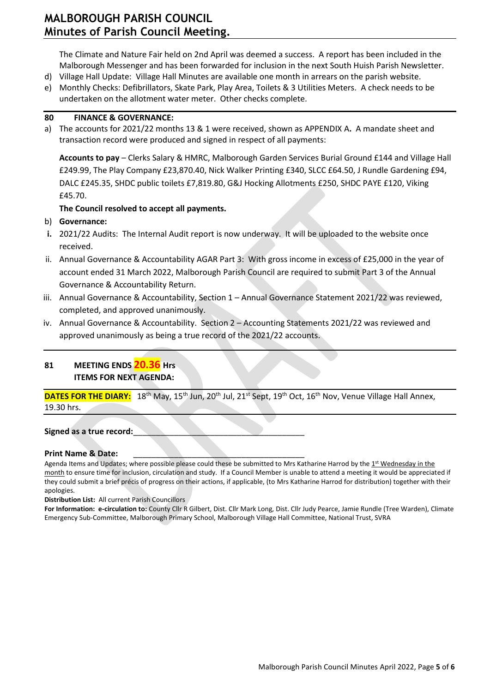# **MALBOROUGH PARISH COUNCIL Minutes of Parish Council Meeting.**

The Climate and Nature Fair held on 2nd April was deemed a success. A report has been included in the Malborough Messenger and has been forwarded for inclusion in the next South Huish Parish Newsletter.

- d) Village Hall Update: Village Hall Minutes are available one month in arrears on the parish website.
- e) Monthly Checks: Defibrillators, Skate Park, Play Area, Toilets & 3 Utilities Meters. A check needs to be undertaken on the allotment water meter. Other checks complete.

#### **80 FINANCE & GOVERNANCE:**

a) The accounts for 2021/22 months 13 & 1 were received, shown as APPENDIX A**.** A mandate sheet and transaction record were produced and signed in respect of all payments:

**Accounts to pay** – Clerks Salary & HMRC, Malborough Garden Services Burial Ground £144 and Village Hall £249.99, The Play Company £23,870.40, Nick Walker Printing £340, SLCC £64.50, J Rundle Gardening £94, DALC £245.35, SHDC public toilets £7,819.80, G&J Hocking Allotments £250, SHDC PAYE £120, Viking £45.70.

### **The Council resolved to accept all payments.**

- b) **Governance:**
- **i.** 2021/22 Audits: The Internal Audit report is now underway. It will be uploaded to the website once received.
- ii. Annual Governance & Accountability AGAR Part 3: With gross income in excess of £25,000 in the year of account ended 31 March 2022, Malborough Parish Council are required to submit Part 3 of the Annual Governance & Accountability Return.
- iii. Annual Governance & Accountability, Section 1 Annual Governance Statement 2021/22 was reviewed, completed, and approved unanimously.
- iv. Annual Governance & Accountability. Section 2 Accounting Statements 2021/22 was reviewed and approved unanimously as being a true record of the 2021/22 accounts.

### **81 MEETING ENDS 20.36 Hrs ITEMS FOR NEXT AGENDA:**

DATES FOR THE DIARY: 18<sup>th</sup> May, 15<sup>th</sup> Jun, 20<sup>th</sup> Jul, 21<sup>st</sup> Sept, 19<sup>th</sup> Oct, 16<sup>th</sup> Nov, Venue Village Hall Annex, 19.30 hrs.

Signed as a true record:

### **Print Name & Date:**

Agenda Items and Updates; where possible please could these be submitted to Mrs Katharine Harrod by the 1st Wednesday in the month to ensure time for inclusion, circulation and study. If a Council Member is unable to attend a meeting it would be appreciated if they could submit a brief précis of progress on their actions, if applicable, (to Mrs Katharine Harrod for distribution) together with their apologies.

**Distribution List:** All current Parish Councillors

**For Information: e-circulation to:** County Cllr R Gilbert, Dist. Cllr Mark Long, Dist. Cllr Judy Pearce, Jamie Rundle (Tree Warden), Climate Emergency Sub-Committee, Malborough Primary School, Malborough Village Hall Committee, National Trust, SVRA